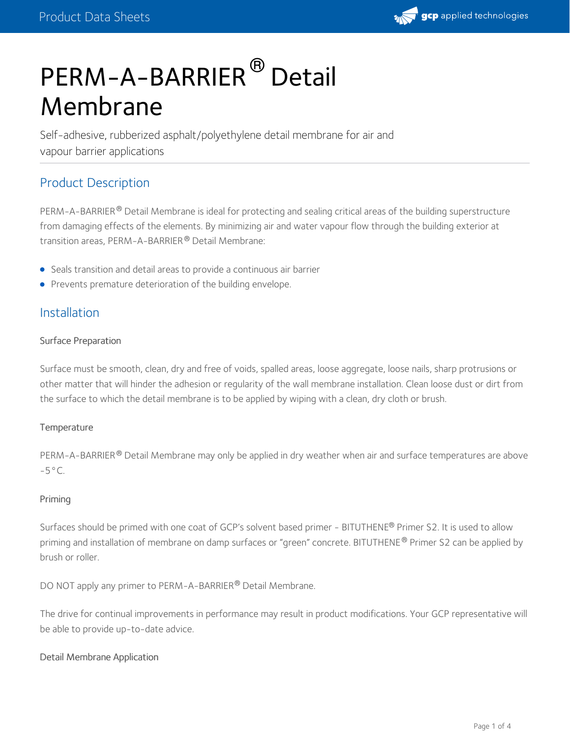

# PERM-A-BARRIER<sup>®</sup> Detail Membrane

Self-adhesive, rubberized asphalt/polyethylene detail membrane for air and vapour barrier applications

# Product Description

PERM-A-BARRIER® Detail Membrane is ideal for protecting and sealing critical areas of the building superstructure from damaging effects of the elements. By minimizing air and water vapour flow through the building exterior at transition areas, PERM-A-BARRIER® Detail Membrane:

- Seals transition and detail areas to provide a continuous air barrier
- **•** Prevents premature deterioration of the building envelope.

# Installation

#### Surface Preparation

Surface must be smooth, clean, dry and free of voids, spalled areas, loose aggregate, loose nails, sharp protrusions or other matter that will hinder the adhesion or regularity of the wall membrane installation. Clean loose dust or dirt from the surface to which the detail membrane is to be applied by wiping with a clean, dry cloth or brush.

#### **Temperature**

PERM-A-BARRIER® Detail Membrane may only be applied in dry weather when air and surface temperatures are above  $-5°C$ .

#### Priming

Surfaces should be primed with one coat of GCP's solvent based primer - BITUTHENE® Primer S2. It is used to allow priming and installation of membrane on damp surfaces or "green" concrete. BITUTHENE® Primer S2 can be applied by brush or roller.

DO NOT apply any primer to PERM-A-BARRIER® Detail Membrane.

The drive for continual improvements in performance may result in product modifications. Your GCP representative will be able to provide up-to-date advice.

#### Detail Membrane Application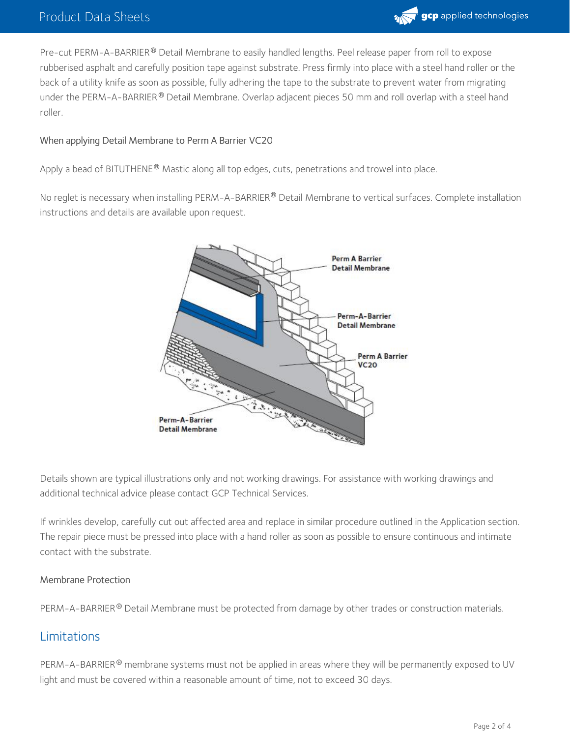

Pre-cut PERM-A-BARRIER® Detail Membrane to easily handled lengths. Peel release paper from roll to expose rubberised asphalt and carefully position tape against substrate. Press firmly into place with a steel hand roller or the back of a utility knife as soon as possible, fully adhering the tape to the substrate to prevent water from migrating under the PERM-A-BARRIER® Detail Membrane. Overlap adjacent pieces 50 mm and roll overlap with a steel hand roller.

#### When applying Detail Membrane to Perm A Barrier VC20

Apply a bead of BITUTHENE® Mastic along all top edges, cuts, penetrations and trowel into place.

No reglet is necessary when installing PERM-A-BARRIER® Detail Membrane to vertical surfaces. Complete installation instructions and details are available upon request.



Details shown are typical illustrations only and not working drawings. For assistance with working drawings and additional technical advice please contact GCP Technical Services.

If wrinkles develop, carefully cut out affected area and replace in similar procedure outlined in the Application section. The repair piece must be pressed into place with a hand roller as soon as possible to ensure continuous and intimate contact with the substrate.

#### Membrane Protection

PERM-A-BARRIER® Detail Membrane must be protected from damage by other trades or construction materials.

# Limitations

PERM-A-BARRIER® membrane systems must not be applied in areas where they will be permanently exposed to UV light and must be covered within a reasonable amount of time, not to exceed 30 days.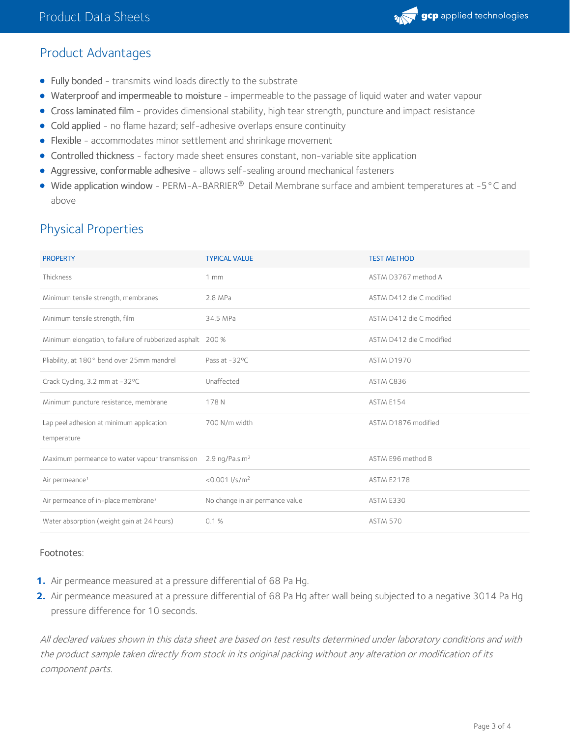# Product Advantages

- Fully bonded transmits wind loads directly to the substrate
- Waterproof and impermeable to moisture impermeable to the passage of liquid water and water vapour
- Cross laminated film provides dimensional stability, high tear strength, puncture and impact resistance
- Cold applied no flame hazard; self-adhesive overlaps ensure continuity
- Flexible accommodates minor settlement and shrinkage movement
- Controlled thickness factory made sheet ensures constant, non-variable site application
- Aggressive, conformable adhesive allows self-sealing around mechanical fasteners
- Wide application window PERM-A-BARRIER® Detail Membrane surface and ambient temperatures at -5 °C and above

# Physical Properties

| <b>PROPERTY</b>                                                           | <b>TYPICAL VALUE</b>            | <b>TEST METHOD</b>       |
|---------------------------------------------------------------------------|---------------------------------|--------------------------|
| Thickness                                                                 | 1 <sub>mm</sub>                 | ASTM D3767 method A      |
| Minimum tensile strength, membranes                                       | 2.8 MPa                         | ASTM D412 die C modified |
| Minimum tensile strength, film                                            | 34.5 MPa                        | ASTM D412 die C modified |
| Minimum elongation, to failure of rubberized asphalt 200 %                |                                 | ASTM D412 die C modified |
| Pliability, at 180° bend over 25mm mandrel                                | Pass at -32°C                   | ASTM D1970               |
| Crack Cycling, 3.2 mm at -32°C                                            | Unaffected                      | ASTM C836                |
| Minimum puncture resistance, membrane                                     | 178N                            | ASTM E154                |
| Lap peel adhesion at minimum application                                  | 700 N/m width                   | ASTM D1876 modified      |
| temperature                                                               |                                 |                          |
| Maximum permeance to water vapour transmission 2.9 ng/Pa.s.m <sup>2</sup> |                                 | ASTM E96 method B        |
| Air permeance <sup>1</sup>                                                | $< 0.001$ l/s/m <sup>2</sup>    | <b>ASTM E2178</b>        |
| Air permeance of in-place membrane <sup>2</sup>                           | No change in air permance value | ASTM E330                |
| Water absorption (weight gain at 24 hours)                                | 0.1%                            | <b>ASTM 570</b>          |

#### Footnotes:

- **1.** Air permeance measured at a pressure differential of 68 Pa Hg.
- Air permeance measured at a pressure differential of 68 Pa Hg after wall being subjected to a negative 3014 Pa Hg pressure difference for <sup>10</sup> seconds. **2.**

All declared values shown in this data sheet are based on test results determined under laboratory conditions and with the product sample taken directly from stock in its original packing without any alteration or modification of its component parts.